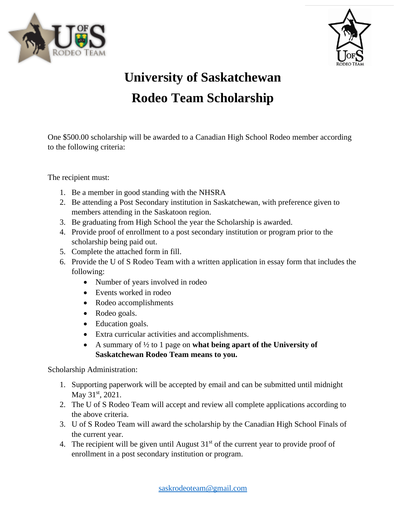



## **University of Saskatchewan Rodeo Team Scholarship**

One \$500.00 scholarship will be awarded to a Canadian High School Rodeo member according to the following criteria:

The recipient must:

- 1. Be a member in good standing with the NHSRA
- 2. Be attending a Post Secondary institution in Saskatchewan, with preference given to members attending in the Saskatoon region.
- 3. Be graduating from High School the year the Scholarship is awarded.
- 4. Provide proof of enrollment to a post secondary institution or program prior to the scholarship being paid out.
- 5. Complete the attached form in fill.
- 6. Provide the U of S Rodeo Team with a written application in essay form that includes the following:
	- Number of years involved in rodeo
	- Events worked in rodeo
	- Rodeo accomplishments
	- Rodeo goals.
	- Education goals.
	- Extra curricular activities and accomplishments.
	- A summary of ½ to 1 page on **what being apart of the University of Saskatchewan Rodeo Team means to you.**

Scholarship Administration:

- 1. Supporting paperwork will be accepted by email and can be submitted until midnight May 31<sup>st</sup>, 2021.
- 2. The U of S Rodeo Team will accept and review all complete applications according to the above criteria.
- 3. U of S Rodeo Team will award the scholarship by the Canadian High School Finals of the current year.
- 4. The recipient will be given until August  $31<sup>st</sup>$  of the current year to provide proof of enrollment in a post secondary institution or program.